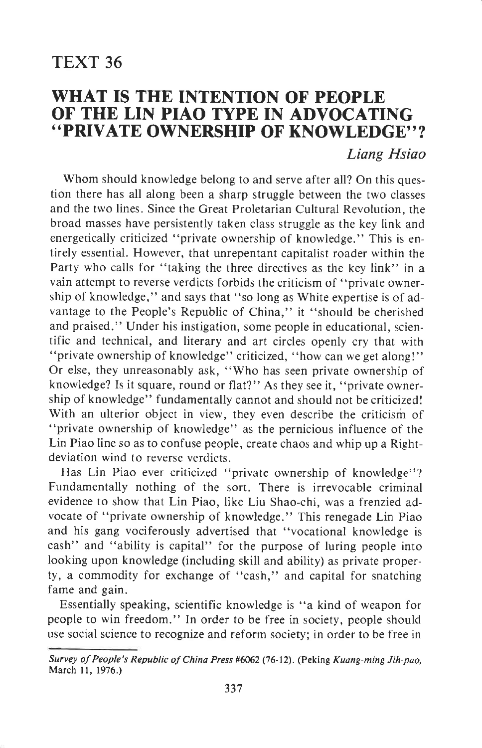## TEXT 36

## WHAT IS THE INTENTION OF PEOPLE<br>OF THE LIN PIAO TYPE IN ADVOCATING "PRIVATE OWNERSHIP OF KNOWLEDGE"? Liong Hsiao

Whom should knowledge belong to and serve after all? On this question there has all along been a sharp struggle between the two classes and the two lines. Since the Creat Proletarian Cultural Revolution, the broad masses have persistently taken class struggle as the key link and energetically criticized "private ownership of knowledge." This is entirely essential. However, that unrepentant capitalist roader within the Party who calls for "taking the three directives as the key link" in <sup>a</sup> vain attempt to reverse verdicts forbids the criticism of "private ownership of knowledge," and says that "so long as White expertise is of advantage to the People's Republic of China," it "should be cherished and praised." Under his instigation, some people in educational, scientific and technical, and literary and art circles openly cry that with "private ownership of knowledge" criticized, "how can we get along!" Or else, they unreasonably ask, "Who has seen private ownership of knowledge? Is it square, round or flat?" As they see it, "private ownership of knowledge" fundamentally cannot and should not be criticized! With an ulterior object in view, they even describe the criticism of "private ownership of knowledge" as the pernicious influence of the Lin Piao line so as to confuse people, create chaos and whip up a Rightdeviation wind to reverse verdicts.

Has Lin Piao ever criticized "private ownership of knowledge"? Fundamentally nothing of the sort. There is irrevocable criminal evidence to show that Lin Piao, like Liu Shao-chi, was a frenzied advocate of "private ownership of knowledge." This renegade Lin Piao and his gang vociferously advertised that "vocational knowledge is cash" and "ability is capital" for the purpose of luring people into looking upon knowledge (including skill and ability) as private property, a commodity for exchange of "cash," and capital for snatching fame and gain.

Essentially speaking, scientific knowledge is "a kind of weapon for people to win freedom." In order to be free in society, people should use social science to recognize and reform society; in order to be free in

Survey of People's Republic of China Press #6062 (76-12). (Peking Kuang-ming Jih-pao, March ll, 1976.)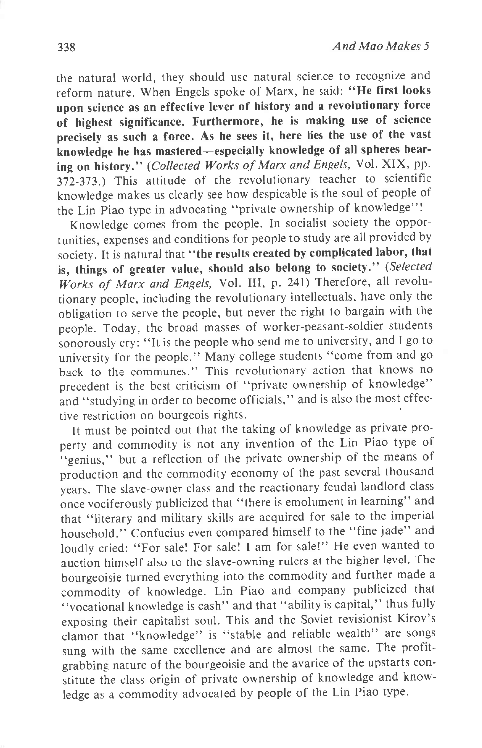the natural world, they should use natural science to recognize and reform nature. When Engels spoke of Marx, he said: "He first looks upon science as an effective lever of history and a revolutionary force of highest significance. Furthermore, he is making use of science precisely as such a force. As he sees it, here lies the use of the vast knowledge he has mastered-especially knowledge of all spheres bearing on history." (Collected Works of Marx and Engels, Vol. XIX, pp. 372-373.) This attitude of the revolutionary teacher to scientific knowledge makes us clearly see how despicable is the soul of people of the Lin Piao type in advocating "private ownership of knowledge"!

Knowledge comes from the people. In socialist society the opportunities, expenses and conditions for people to study are all provided by society. It is natural that "the results created by complicated labor, that is, things of greater value, should also belong to society." (Selected Works of Marx and Engels, Vol. III, p. 241) Therefore, all revolutionary people, including the revolutionary intellectuals, have only the obligation to serve the people, but never the right to bargain with the people. Today, the broad masses of worker-peasant-soldier students sonorously cry: "It is the people who send me to university, and I go to university for the people." Many college students "come from and go back to the communes." This revolutionary action that knows no precedent is the best criticism of "private ownership of knowledge" and "studying in order to become officials," and is also the most effective restriction on bourgeois rights.

It must be pointed out that the taking of knowledge as private property and commodity is not any invention of the Lin Piao type of "genius," but a reflection of the private ownership of the means of production and the commodity economy of the past several thousand years. The slave-owner class and the reactionary feudal landlord class once vociferously publicized that "there is emolument in learning" and that "literary and military skills are acquired for sale to the imperial household." Confucius even compared himself to the "fine jade" and loudly cried: "For sale! For sale! I am for sale!" He even wanted to auction himself also to the slave-owning rulers at the higher level. The bourgeoisie turned everything into the commodity and further made <sup>a</sup> commodity of knowledge. Lin Piao and company publicized that "vocational knowledge is cash" and that "ability is capital," thus fully exposing their capitalist soul. This and the Soviet revisionist Kirov's clamor that "knowledge" is "stable and reliable wealth" are songs sung with the same excellence and are almost the same. The profitgrabbing nature of the bourgeoisie and the avarice of the upstarts constitute the class origin of private ownership of knowledge and knowledge as a commodity advocated by people of the Lin Piao type.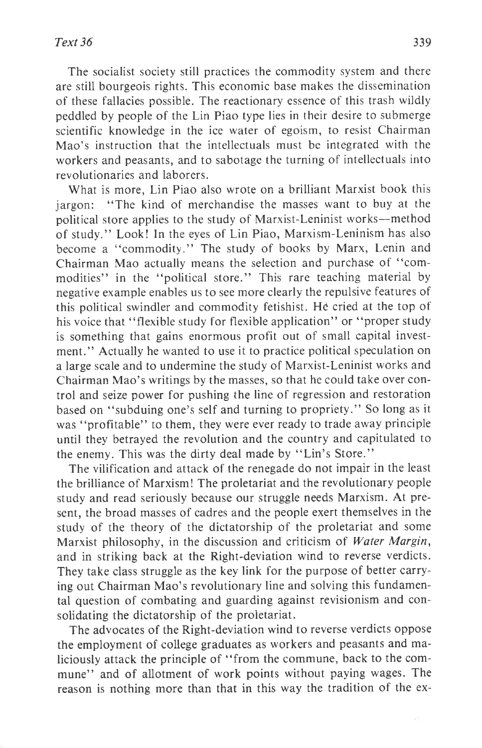The socialist society still practices the commodity system and there are still bourgeois rights. This economic base makes the dissemination of these fallacies possible. The reactionary essence of this trash wildly peddled by people of the Lin Piao type lies in their desire to submerge scientific knowledge in the ice water of egoism, to resist Chairman Mao's instruction that the intellectuals must be integrated with the workers and peasants, and to sabotage the turning of intellectuals into revolutionaries and laborers.

What is more, Lin Piao also wrote on a brilliant Marxist book this iargon: "The kind of merchandise the masses want to buy at the political store applies to the study of Marxist-Leninist works--method of study." Look! In the eyes of Lin Piao, Marxism-Leninism has also become a "commodity." The study of books by Marx, Lenin and Chairman Mao actually means the selection and purchase of "commodities" in the "political store." This rare teaching material by negative example enables us to see more clearly the repulsive features of this political swindler and commodity fetishist. He cried at the top of his voice that "flexible study for flexible application" or "proper study is something that gains enormous profit out of small capital investment." Actually he wanted to use it to practice political speculation on a large scale and to undermine the study of Marxist-Leninist works and Chairman Mao's writings by the masses, so that he could take over control and seize power for pushing the line of regression and restoration based on "subduing one's self and turning to propriety." So long as it was "profitable" to them, they were ever ready to trade away principle until they betrayed the revolution and the country and capitulated to the enemy. This was the dirty deal made by "Lin's Store."

The vilification and attack of the renegade do not impair in the least the brilliance of Marxism! The proletariat and the revolutionary people study and read seriously because our struggle needs Marxism. At present, the broad masses of cadres and the people exert themselves in the study of the theory of the dictatorship of the proletariat and some Marxist philosophy, in the discussion and criticism of Water Margin, and in striking back at the Right-deviation wind to reverse verdicts. They take class struggle as the key link for the purpose of better carrying out Chairman Mao's revolutionary line and solving this fundamental question of combating and guarding against revisionism and consolidating the dictatorship of the proletariat.

The advocates of the Right-deviation wind to reverse verdicts oppose the employment of college graduates as workers and peasants and maliciously attack the principle of "from the commune, back to the commune" and of allotment of work points without paying wages. The reason is nothing more than that in this way the tradition of the ex-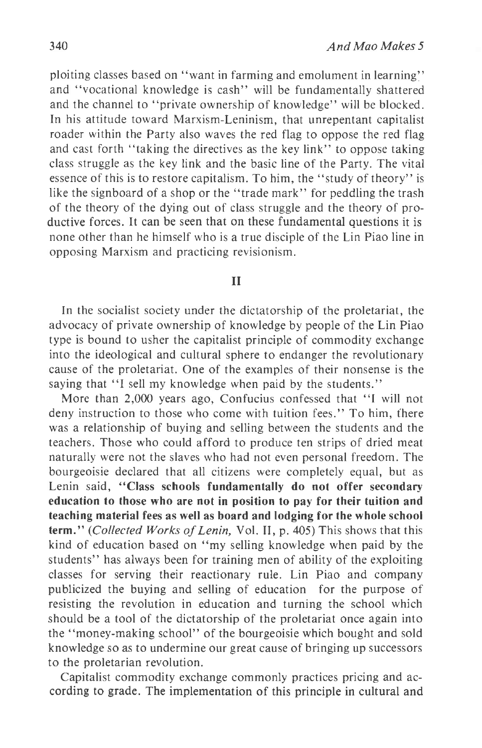ploiting classes based on "want in farming and emolument in learning" and "vocational knowledge is cash" will be fundamentally shattered and the channel to "private ownership of knowledge" will be blocked. In his attitude toward Marxism-Leninism, that unrepentant capitalist roader within the Party also waves the red flag to oppose the red flag and cast forth "taking the directives as the key link" to oppose taking class struggle as the key link and the basic line of the Party. The vital essence of this is to restore capitalism. To him, the "study of theory" is like the signboard of a shop or the "trade mark" for peddling the trash of the theory of the dying out of class struggle and the theory of productive forces. It can be seen that on these fundamental questions it is none other than he himself who is a true disciple of the Lin Piao line in opposing Marxism and practicing revisionism.

II

In the socialist society under the dictatorship of the proletariat, the advocacy of private ownership of knowledge by people of the Lin Piao type is bound to usher the capitalist principle of commodity exchange into the ideological and cultural sphere to endanger the revolutionary cause of the proletariat. One of the examples of their nonsense is the saying that "I sell my knowledge when paid by the students."

More than 2,000 years ago, Confucius confessed that "I will not deny instruction to those who come with tuition fees." To him, there was a relationship of buying and selling between the students and the teachers. Those who could afford to produce ten strips of dried meat naturally were not the slaves who had not even personal freedom. The bourgeoisie declared that all citizens were completely equal, but as Lenin said, "Class schools fundamentally do not offer secondary education to those who are not in position to pay for their tuition and teaching material fees as well as board and lodging for the whole school term." (Collected Works af Lenin, Vol. II, p. a05) This shows that this kind of education based on "my selling knowledge when paid by the students" has always been for training men of ability of the exploiting classes for serving their reactionary rule. Lin Piao and company publicized the buying and selling of education for the purpose of resisting the revolution in education and turning the school which should be a tool of the dictatorship of the proletariat once again into the "money-making school" of the bourgeoisie which bought and sold knowledge so as to undermine our great cause of bringing up successors to the proletarian revolution.

Capitalist commodity exchange commonly practices pricing and according to grade. The implementation of this principle in cultural and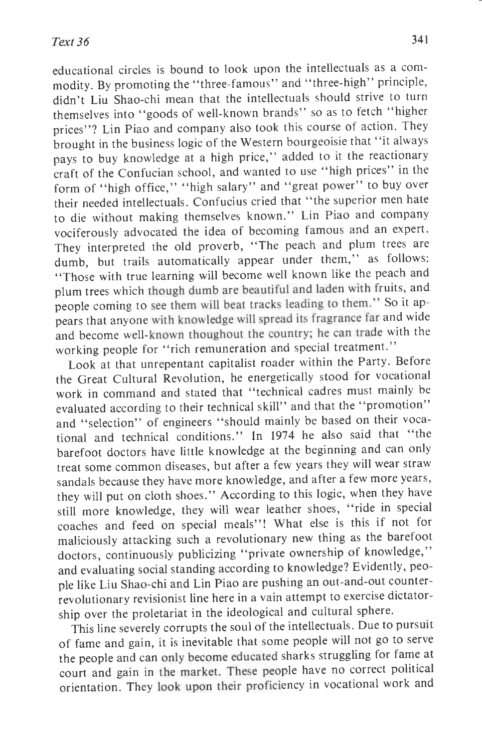educational circles is bound to look upon the intellectuals as a commodity. By promoting the "three-famous" and "three-high" principle, didn't Liu Shao-chi mean that the intellectuals should strive to turn themselves into "goods of well-known brands" so as to fetch "higher prices"? Lin Piao and company also took this course of action. They brought in the business logic of the western bourgeoisie that "it always pays to buy knowledge at a high price," added to it the reactionary craft of the confucian school, and wanted to use "high prices" in the form of "high office," "high salary" and "great power" to buy over their needed intellectuals. Confucius cried that "the superior men hate to die without making themselves known." Lin Piao and company vociferously advocated the idea of becoming famous and an expert. They interpreted the old proverb, "The peach and plum trees are dumb, but trails automatically appear under them," as follows: "Those with true learning will become well known like the peach and plum trees which though dumb are beautiful and laden with fruits, and people coming to see them will beat tracks leading to them." So it appears that anyone with knowledge will spread its fragrance far and wide and become well-known thoughout the country; he can trade with the working people for "rich remuneration and special treatment."

Look at that unrepentant capitalist roader within the Party. Before the Great Cultural Revolution, he energetically stood for vocational work in command and stated that "technical cadres must mainly be evaluated according to their technical skill" and that the "promotion" and "selection" of engineers "should mainly be based on their vocational and technical conditions." ln 1974 he also said that "the barefoot doctors have little knowledge at the beginning and can only treat some common diseases, but after a few years they will wear straw sandals because they have more knowledge, and after a few more years, they will put on cloth shoes." According to this logic, when they have stili more knowledge, they will wear leather shoes, "ride in special coaches and feed on special meals"! What else is this if not for maliciously attacking such a revolutionary new thing as the barefoot doctors, continuously publicizing "private ownership of knowledge," and evaluating social standing according to knowledge? Evidently, people like Liu Shao-chi and Lin Piao are pushing an out-and-out counterrevolutionary revisionist line here in a vain attempt to exercise dictatorship over the proletariat in the ideological and cultural sphere.

This line severely corrupts the soul of the intellectuals. Due to pursuit of fame and gain, it is inevitable that some people will not go to serve the people and can only become educated sharks struggling for fame at court and gain in the market. These people have no correct political orientation. They look upon their proficiency in vocational work and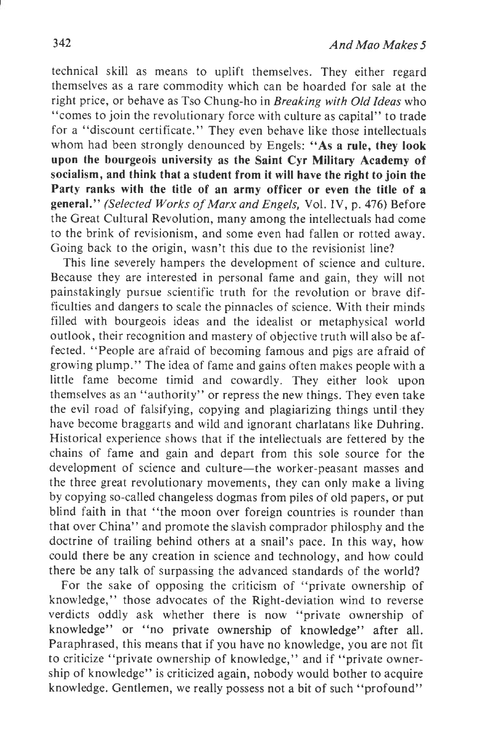technical skill as means to uplift themselves. They either regard themselves as a rare commodity which can be hoarded for sale at the right price, or behave as Tso Chung-ho in Breaking with Old Ideas who "comes to join the revolutionary force with culture as capital" to trade for a "discount certificate." They even behave like those intellectuals whom had been strongly denounced by Engels: "As a rule, they look upon the bourgeois university as the Saint Cyr Military Academy of socialism, and think that a student from it will have the right to join the Party ranks with the title of an army officer or even the title of <sup>a</sup> general." (Selected Works of Marx and Engels, Vol. IV, p. 476) Before the Great Cultural Revolution, many among the intellectuals had come to the brink of revisionism, and some even had fallen or rotted away. Going back to the origin, wasn't this due to the revisionist line?

This line severely hampers the development of science and culture. Because they are interested in personal fame and gain, they will not painstakingly pursue scientific truth for the revolution or brave difficulties and dangers to scale the pinnacles of science. With their minds filled with bourgeois ideas and the idealist or metaphysical world outlook, their recognition and mastery of objective truth will also be affected. "People are afraid of becoming famous and pigs are afraid of growing plump." The idea of fame and gains often makes people with <sup>a</sup> little fame become timid and cowardly. They either look upon themselves as an "authority" or repress the new things. They even take the evil road of falsifying, copying and plagiarizing things until they have become braggarts and wild and ignorant charlatans like Duhring. Historical experience shows that if the intellectuals are fettered by the chains of fame and gain and depart from this sole source for the development of science and culture-the worker-peasant masses and the three great revolutionary movements, they can only make a living by copying so-called changeless dogmas from piles of old papers, or put blind faith in that "the moon over foreign countries is rounder than that over China" and promote the slavish comprador philosphy and the doctrine of trailing behind others at a snail's pace. In this way, how could there be any creation in science and technology, and how could there be any talk of surpassing the advanced standards of the world?

For the sake of opposing the criticism of "private ownership of knowledge," those advocates of the Right-deviation wind to reverse verdicts oddly ask whether there is now "private ownership of knowledge" or "no private ownership of knowledge" after all. Paraphrased, this means that if you have no knowledge, you are not fit to criticize "private ownership of knowledge," and if "private ownership of knowledge" is criticized again, nobody would bother to acquire knowledge. Gentlemen, we really possess not a bit of such "profound"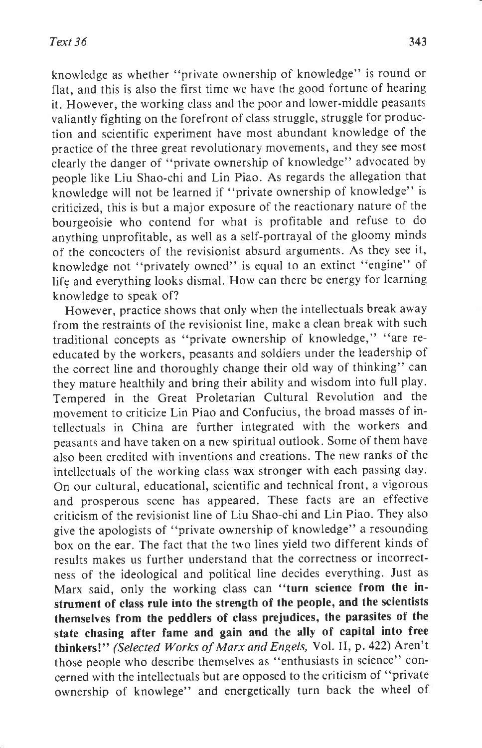knowledge as whether "private ownership of knowledge" is round or flat, and this is also the first time we have the good fortune of hearing it. However, the working class and the poor and lower-middle peasants valiantly fighting on the forefront of class struggle, struggle for production and scientific experiment have most abundant knowledge of the practice of the three great revolutionary movements, and they see most clearly the danger of "private ownership of knowledge" advocated by people like Liu Shao-chi and Lin Piao. As regards the allegation that knowledge will not be learned if "private ownership of knowledge" is criticized, this is but a major exposure of the reactionary nature of the bourgeoisie who contend for what is profitable and refuse to do anything unprofitable, as well as a self-portrayal of the gloomy minds of the concocters of the revisionist absurd arguments. As they see it, knowledge not "privately owned" is equal to an extinct "engine" of life and everything looks dismal. How can there be energy for learning knowledge to speak of?

However, practice shows that only when the intellectuals break away from the restraints of the revisionist line, make a clean break with such traditional concepts as "private ownership of knowledge," "are reeducated by the workers, peasants and soldiers under the leadership of the correct line and thoroughly change their old way of thinking" can they mature healthily and bring their ability and wisdom into full play. Tempered in the Great Proletarian Cultural Revolution and the movement to criticize Lin Piao and Confucius, the broad masses of intellectuals in China are further integrated with the workers and peasants and have taken on a new spiritual outlook. Some of them have also been credited with inventions and creations. The new ranks of the intellectuals of the working class wax stronger with each passing day. On our cultural, educational, scientific and technical front, a vigorous and prosperous scene has appeared. These facts are an effective criticism of the revisionist line of Liu Shao-chi and Lin Piao. They also give the apologists of "private ownership of knowledge" a resounding box on the ear. The fact that the two lines yield two different kinds of results makes us further understand that the correctness or incorrectness of the ideological and political line decides everything. Just as Marx said, only the working class can "turn science from the instrument of class rule into the strength of the people, and the scientists themselves from the peddlers of class prejudices, the parasites of the state chasing after fame and gain and the ally of capital into free thinkers!" (Selected Works of Marx and Engels, Vol. II, p. 422) Aren't those people who describe themselves as "enthusiasts in science" concerned with the intellectuals but are opposed to the criticism of "private ownership of knowlege" and energetically turn back the wheel of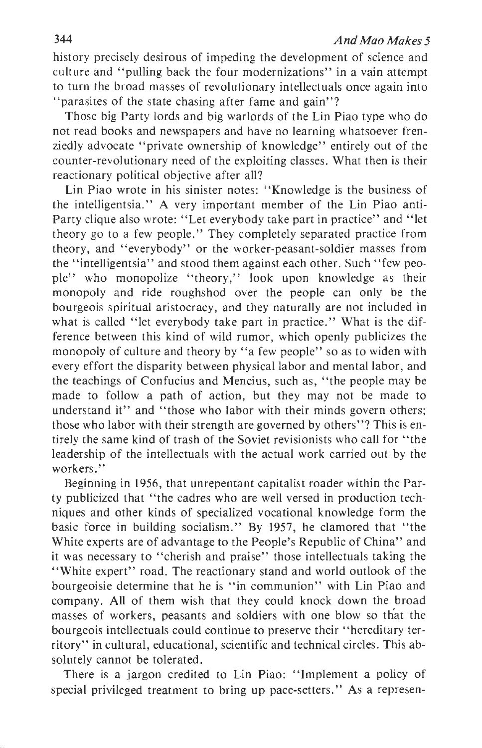history precisely desirous of impeding the development of science and culture and "pulling back the four modernizations" in a vain attempt to turn the broad masses of revolutionary intellectuals once again into "parasites of the state chasing after fame and gain"?

Those big Party lords and big warlords of the Lin Piao type who do not read books and newspapers and have no learning whatsoever frenziedly advocate "private ownership of knowledge" entirely out of the counter-revolutionary need of the exploiting classes. What then is their reactionary political objective after all?

Lin Piao wrote in his sinister notes: "Knowledge is the business of the intelligentsia." A very important member of the Lin Piao anti-Party clique also wrote: "Let everybody take part in practice" and "let theory go to a few people." They completely separated practice from theory, and "everybody" or the worker-peasant-soldier masses from the "intelligentsia" and stood them against each other. Such "few people" who monopolize "theory," look upon knowledge as their monopoly and ride roughshod over the people can only be the bourgeois spiritual aristocracy, and they naturally are not included in what is called "let everybody take part in practice." What is the difference between this kind of wild rumor, which openly publicizes the monopoly of culture and theory by "a few people" so as to widen with every effort the disparity between physical labor and mental labor, and the teachings of Confucius and Mencius, such as, "the people may be made to follow a path of action, but they may not be made to understand it" and "those who labor with their minds govern others; those who labor with their strength are governed by others"? This is entirely the same kind of trash of the Soviet revisionists who call for "the leadership of the intellectuals with the actual work carried out by the workers."

Beginning in 1956, that unrepentant capitalist roader within the Party publicized that "the cadres who are weil versed in production techniques and other kinds of specialized vocational knowledge form the basic force in building socialism." By 1957, he clamored that "the White experts are of advantage to the People's Republic of China" and it was necessary to "cherish and praise" those intellectuals taking the "White expert" road. The reactionary stand and world outlook of the bourgeoisie determine that he is "in communion" with Lin Piao and company. All of them wish that they could knock down the broad masses of workers, peasants and soldiers with one blow so that the bourgeois intellectuals could continue to preserve their "hereditary territory" in cultural, educational, scientific and technical circles. This absolutely cannot be tolerated.

There is a jargon credited to Lin Piao: "lmplement a policy of special privileged treatment to bring up pace-setters." As a represen-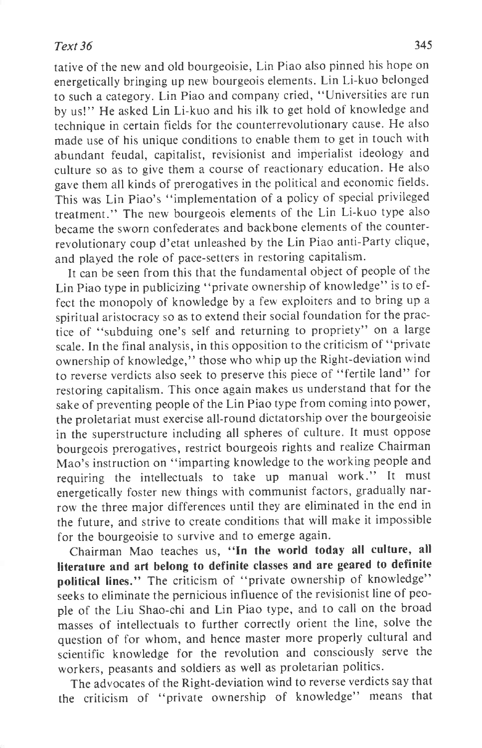## $Text\,36$  345

tative of the new and old bourgeoisie, Lin Piao also pinned his hope on energetically bringing up new bourgeois elements. Lin Li-kuo belonged to such a category. Lin Piao and company cried, "Universities are run by us!" He asked Lin Li-kuo and his ilk to get hold of knowledge and technique in certain fields for the counterrevolutionary cause. He also made use of his unique conditions to enable them to get in touch with abundant feudal, capitalist, revisionist and imperialist ideology and culture so as to give them a course of reactionary education. He also gave them all kinds of prerogatives in the political and economic fields. This was Lin Piao's "implementation of a policy of special privileged treatment." The new bourgeois elements of the Lin Li-kuo type also became the sworn confederates and backbone elements of the counterrevolutionary coup d'etat unleashed by the Lin Piao anti-Party clique, and played the role of pace-setters in restoring capitalism.

It can be seen from this that the fundamental object of people of the Lin Piao type in publicizing "private ownership of knowledge" is to effect the monopoly of knowledge by a few exploiters and to bring up a spiritual aristocracy so as to extend their social foundation for the practice of "subduing one's self and returning to propriety" on a large scale. In the final analysis, in this opposition to the criticism of "private ownership of knowledge," those who whip up the Right-deviation wind to reverse verdicts also seek to preserve this piece of "fertile land" for restoring capitalism. This once again makes us understand that for the sake of preventing people of the Lin Piao type from coming into power, the proletariat must exercise all-round dictatorship over the bourgeoisie in the superstructure including all spheres of culture. It must oppose bourgeois prerogatives, restrict bourgeois rights and realize Chairman Mao's instruction on "imparting knowledge to the working people and requiring the intellectuals to take up manual work." It must energetically foster new things with communist factors, gradually narrow the three major differences until they are eliminated in the end in the future, and strive to create conditions that will make it impossible for the bourgeoisie to survive and to emerge again.

Chairman Mao teaches us, "In the world today all culture, all literature and art belong to definite classes and are geared to definite political lines." The criticism of "private ownership of knowledge" seeks to eliminate the pernicious influence of the revisionist line of people of the Liu Shao-chi and Lin Piao type, and to call on the broad masses of intellectuals to further correctly orient the line, solve the question of for whom, and hence master more properly cultural and scientific knowledge for the revolution and consciously serve the workers, peasants and soldiers as well as proletarian politics.

The advocates of the Right-deviation wind to reverse verdicts say that the criticism of "private ownership of knowledge" means that